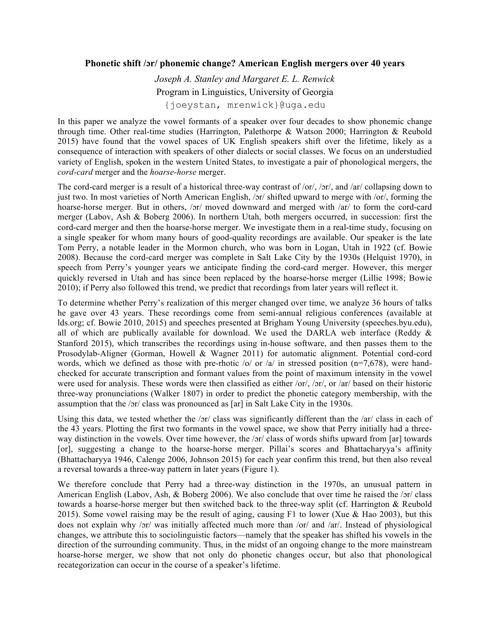## **Phonetic shift /ɔr/ phonemic change? American English mergers over 40 years**

*Joseph A. Stanley and Margaret E. L. Renwick* Program in Linguistics, University of Georgia {joeystan, mrenwick}@uga.edu

In this paper we analyze the vowel formants of a speaker over four decades to show phonemic change through time. Other real-time studies (Harrington, Palethorpe & Watson 2000; Harrington & Reubold 2015) have found that the vowel spaces of UK English speakers shift over the lifetime, likely as a consequence of interaction with speakers of other dialects or social classes. We focus on an understudied variety of English, spoken in the western United States, to investigate a pair of phonological mergers, the *cord-card* merger and the *hoarse-horse* merger.

The cord-card merger is a result of a historical three-way contrast of /or/, /ɔr/, and /ar/ collapsing down to just two. In most varieties of North American English, /ɔr/ shifted upward to merge with /or/, forming the hoarse-horse merger. But in others, /ɔr/ moved downward and merged with /ar/ to form the cord-card merger (Labov, Ash & Boberg 2006). In northern Utah, both mergers occurred, in succession: first the cord-card merger and then the hoarse-horse merger. We investigate them in a real-time study, focusing on a single speaker for whom many hours of good-quality recordings are available. Our speaker is the late Tom Perry, a notable leader in the Mormon church, who was born in Logan, Utah in 1922 (cf. Bowie 2008). Because the cord-card merger was complete in Salt Lake City by the 1930s (Helquist 1970), in speech from Perry's younger years we anticipate finding the cord-card merger. However, this merger quickly reversed in Utah and has since been replaced by the hoarse-horse merger (Lillie 1998; Bowie 2010); if Perry also followed this trend, we predict that recordings from later years will reflect it.

To determine whether Perry's realization of this merger changed over time, we analyze 36 hours of talks he gave over 43 years. These recordings come from semi-annual religious conferences (available at lds.org; cf. Bowie 2010, 2015) and speeches presented at Brigham Young University (speeches.byu.edu), all of which are publically available for download. We used the DARLA web interface (Reddy  $\&$ Stanford 2015), which transcribes the recordings using in-house software, and then passes them to the Prosodylab-Aligner (Gorman, Howell & Wagner 2011) for automatic alignment. Potential cord-cord words, which we defined as those with pre-rhotic /o/ or /a/ in stressed position (n=7,678), were handchecked for accurate transcription and formant values from the point of maximum intensity in the vowel were used for analysis. These words were then classified as either /or/, /or/, or /ar/ based on their historic three-way pronunciations (Walker 1807) in order to predict the phonetic category membership, with the assumption that the /ɔr/ class was pronounced as [ar] in Salt Lake City in the 1930s.

Using this data, we tested whether the /ɔr/ class was significantly different than the /ar/ class in each of the 43 years. Plotting the first two formants in the vowel space, we show that Perry initially had a threeway distinction in the vowels. Over time however, the /ɔr/ class of words shifts upward from [ar] towards [or], suggesting a change to the hoarse-horse merger. Pillai's scores and Bhattacharyya's affinity (Bhattacharyya 1946, Calenge 2006, Johnson 2015) for each year confirm this trend, but then also reveal a reversal towards a three-way pattern in later years (Figure 1).

We therefore conclude that Perry had a three-way distinction in the 1970s, an unusual pattern in American English (Labov, Ash, & Boberg 2006). We also conclude that over time he raised the /ɔr/ class towards a hoarse-horse merger but then switched back to the three-way split (cf. Harrington & Reubold 2015). Some vowel raising may be the result of aging, causing F1 to lower (Xue & Hao 2003), but this does not explain why /ɔr/ was initially affected much more than /or/ and /ar/. Instead of physiological changes, we attribute this to sociolinguistic factors—namely that the speaker has shifted his vowels in the direction of the surrounding community. Thus, in the midst of an ongoing change to the more mainstream hoarse-horse merger, we show that not only do phonetic changes occur, but also that phonological recategorization can occur in the course of a speaker's lifetime.